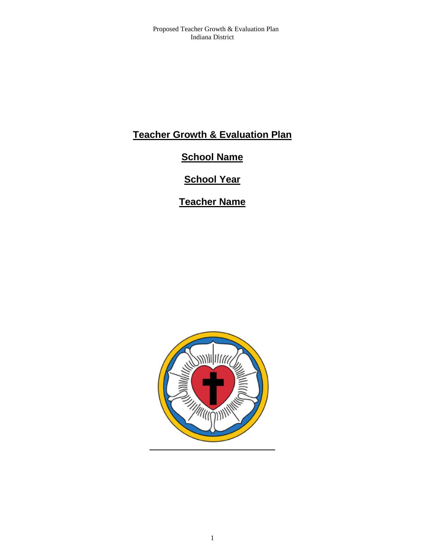# **Teacher Growth & Evaluation Plan**

# **School Name**

# **School Year**

**Teacher Name**

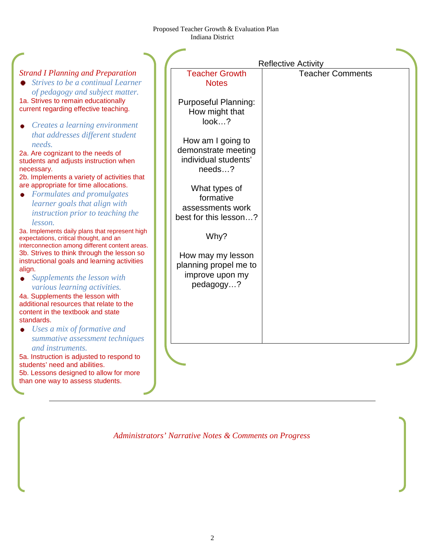|                                                                                                                                                                                                                                                                  | <b>Reflective Activity</b>                                                                  |                         |
|------------------------------------------------------------------------------------------------------------------------------------------------------------------------------------------------------------------------------------------------------------------|---------------------------------------------------------------------------------------------|-------------------------|
| <b>Strand I Planning and Preparation</b><br>• Strives to be a continual Learner<br>of pedagogy and subject matter.                                                                                                                                               | <b>Teacher Growth</b><br><b>Notes</b>                                                       | <b>Teacher Comments</b> |
| 1a. Strives to remain educationally<br>current regarding effective teaching.                                                                                                                                                                                     | <b>Purposeful Planning:</b><br>How might that<br>look?                                      |                         |
| Creates a learning environment<br>that addresses different student<br>needs.<br>2a. Are cognizant to the needs of<br>students and adjusts instruction when<br>necessary.<br>2b. Implements a variety of activities that<br>are appropriate for time allocations. | How am I going to<br>demonstrate meeting<br>individual students'<br>needs?<br>What types of |                         |
| • Formulates and promulgates<br>learner goals that align with<br>instruction prior to teaching the<br>lesson.                                                                                                                                                    | formative<br>assessments work<br>best for this lesson?                                      |                         |
| 3a. Implements daily plans that represent high<br>expectations, critical thought, and an<br>interconnection among different content areas.                                                                                                                       | Why?                                                                                        |                         |
| 3b. Strives to think through the lesson so<br>instructional goals and learning activities<br>align.<br>• Supplements the lesson with<br>various learning activities.                                                                                             | How may my lesson<br>planning propel me to<br>improve upon my<br>pedagogy?                  |                         |
| 4a. Supplements the lesson with<br>additional resources that relate to the<br>content in the textbook and state<br>standards.                                                                                                                                    |                                                                                             |                         |
| $\bullet$ Uses a mix of formative and<br>summative assessment techniques<br>and instruments.                                                                                                                                                                     |                                                                                             |                         |
| 5a. Instruction is adjusted to respond to<br>students' need and abilities.<br>5b. Lessons designed to allow for more<br>than one way to assess students.                                                                                                         |                                                                                             |                         |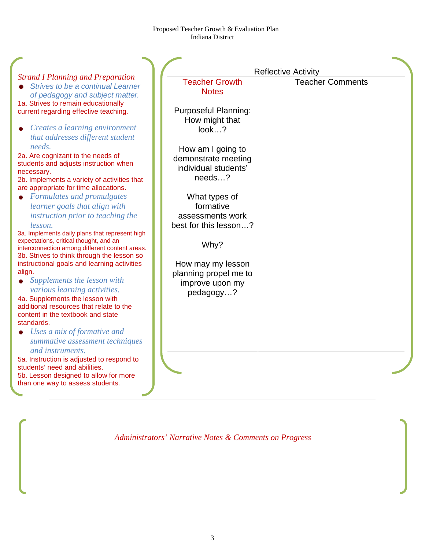|                                                                                                                                            |                                                                  | <b>Reflective Activity</b> |
|--------------------------------------------------------------------------------------------------------------------------------------------|------------------------------------------------------------------|----------------------------|
| <b>Strand I Planning and Preparation</b><br>Strives to be a continual Learner<br>of pedagogy and subject matter.                           | <b>Teacher Growth</b><br><b>Notes</b>                            | <b>Teacher Comments</b>    |
| 1a. Strives to remain educationally<br>current regarding effective teaching.                                                               | <b>Purposeful Planning:</b><br>How might that                    |                            |
| Creates a learning environment<br>that addresses different student<br>needs.                                                               | look?                                                            |                            |
| 2a. Are cognizant to the needs of<br>students and adjusts instruction when<br>necessary.                                                   | How am I going to<br>demonstrate meeting<br>individual students' |                            |
| 2b. Implements a variety of activities that<br>are appropriate for time allocations.                                                       | needs?                                                           |                            |
| • Formulates and promulgates<br>learner goals that align with                                                                              | What types of<br>formative                                       |                            |
| instruction prior to teaching the<br>lesson.                                                                                               | assessments work<br>best for this lesson?                        |                            |
| 3a. Implements daily plans that represent high<br>expectations, critical thought, and an<br>interconnection among different content areas. | Why?                                                             |                            |
| 3b. Strives to think through the lesson so<br>instructional goals and learning activities                                                  | How may my lesson                                                |                            |
| align.<br>Supplements the lesson with                                                                                                      | planning propel me to<br>improve upon my                         |                            |
| various learning activities.<br>4a. Supplements the lesson with                                                                            | pedagogy?                                                        |                            |
| additional resources that relate to the<br>content in the textbook and state<br>standards.                                                 |                                                                  |                            |
| Uses a mix of formative and<br>summative assessment techniques<br>and instruments.                                                         |                                                                  |                            |
| 5a. Instruction is adjusted to respond to<br>students' need and abilities.                                                                 |                                                                  |                            |
| 5b. Lesson designed to allow for more<br>than one way to assess students.                                                                  |                                                                  |                            |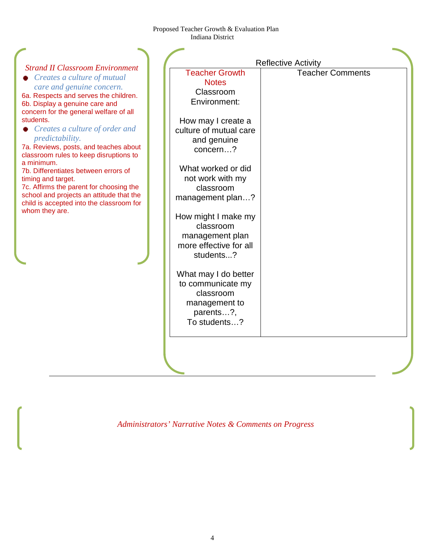| <b>Strand II Classroom Environment</b><br>Creates a culture of mutual<br>care and genuine concern.<br>6a. Respects and serves the children.<br>6b. Display a genuine care and<br>concern for the general welfare of all<br>students.<br>$\bullet$ Creates a culture of order and<br><i>predictability.</i><br>7a. Reviews, posts, and teaches about<br>classroom rules to keep disruptions to<br>a minimum.<br>7b. Differentiates between errors of<br>timing and target.<br>7c. Affirms the parent for choosing the<br>school and projects an attitude that the<br>child is accepted into the classroom for<br>whom they are. | <b>Teacher Growth</b><br><b>Notes</b><br>Classroom<br>Environment:<br>How may I create a<br>culture of mutual care<br>and genuine<br>concern?<br>What worked or did<br>not work with my<br>classroom<br>management plan?<br>How might I make my<br>classroom<br>management plan<br>more effective for all<br>students?<br>What may I do better<br>to communicate my<br>classroom<br>management to<br>parents?,<br>To students? | <b>Reflective Activity</b><br><b>Teacher Comments</b> |
|--------------------------------------------------------------------------------------------------------------------------------------------------------------------------------------------------------------------------------------------------------------------------------------------------------------------------------------------------------------------------------------------------------------------------------------------------------------------------------------------------------------------------------------------------------------------------------------------------------------------------------|--------------------------------------------------------------------------------------------------------------------------------------------------------------------------------------------------------------------------------------------------------------------------------------------------------------------------------------------------------------------------------------------------------------------------------|-------------------------------------------------------|
|                                                                                                                                                                                                                                                                                                                                                                                                                                                                                                                                                                                                                                |                                                                                                                                                                                                                                                                                                                                                                                                                                |                                                       |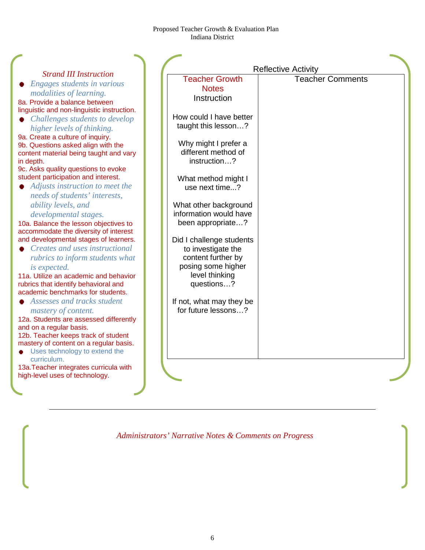| <b>Strand III Instruction</b>                                                  |                                                 | <b>Reflective Activity</b> |
|--------------------------------------------------------------------------------|-------------------------------------------------|----------------------------|
| Engages students in various                                                    | <b>Teacher Growth</b>                           | <b>Teacher Comments</b>    |
| modalities of learning.                                                        | <b>Notes</b>                                    |                            |
| 8a. Provide a balance between                                                  | Instruction                                     |                            |
| linguistic and non-linguistic instruction.                                     |                                                 |                            |
| Challenges students to develop                                                 | How could I have better                         |                            |
| higher levels of thinking.                                                     | taught this lesson?                             |                            |
| 9a. Create a culture of inquiry.                                               |                                                 |                            |
| 9b. Questions asked align with the                                             | Why might I prefer a                            |                            |
| content material being taught and vary                                         | different method of                             |                            |
| in depth.                                                                      | instruction?                                    |                            |
| 9c. Asks quality questions to evoke<br>student participation and interest.     |                                                 |                            |
| Adjusts instruction to meet the                                                | What method might I                             |                            |
|                                                                                | use next time?                                  |                            |
| needs of students' interests,                                                  |                                                 |                            |
| ability levels, and                                                            | What other background<br>information would have |                            |
| developmental stages.                                                          |                                                 |                            |
| 10a. Balance the lesson objectives to<br>accommodate the diversity of interest | been appropriate?                               |                            |
| and developmental stages of learners.                                          | Did I challenge students                        |                            |
| Creates and uses instructional                                                 | to investigate the                              |                            |
| rubrics to inform students what                                                | content further by                              |                            |
|                                                                                | posing some higher                              |                            |
| is expected.<br>11a. Utilize an academic and behavior                          | level thinking                                  |                            |
| rubrics that identify behavioral and                                           | questions?                                      |                            |
| academic benchmarks for students.                                              |                                                 |                            |
| • Assesses and tracks student                                                  | If not, what may they be                        |                            |
| mastery of content.                                                            | for future lessons?                             |                            |
| 12a. Students are assessed differently                                         |                                                 |                            |
| and on a regular basis.                                                        |                                                 |                            |
| 12b. Teacher keeps track of student                                            |                                                 |                            |
| mastery of content on a regular basis.                                         |                                                 |                            |
| Uses technology to extend the                                                  |                                                 |                            |
| curriculum.                                                                    |                                                 |                            |
| 13a. Teacher integrates curricula with                                         |                                                 |                            |
| high-level uses of technology.                                                 |                                                 |                            |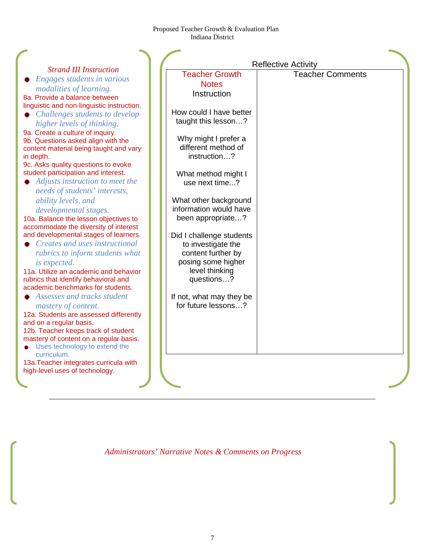| <b>Strand III Instruction</b>                                           |                            |                         |
|-------------------------------------------------------------------------|----------------------------|-------------------------|
|                                                                         | <b>Reflective Activity</b> |                         |
|                                                                         | <b>Teacher Growth</b>      | <b>Teacher Comments</b> |
| Engages students in various                                             | <b>Notes</b>               |                         |
| modalities of learning.<br>8a. Provide a balance between                | Instruction                |                         |
| linguistic and non-linguistic instruction.                              |                            |                         |
| Challenges students to develop                                          | How could I have better    |                         |
| higher levels of thinking.                                              | taught this lesson?        |                         |
| 9a. Create a culture of inquiry.                                        |                            |                         |
| 9b. Questions asked align with the                                      | Why might I prefer a       |                         |
| content material being taught and vary                                  | different method of        |                         |
| in depth.                                                               | instruction?               |                         |
| 9c. Asks quality questions to evoke                                     |                            |                         |
| student participation and interest.                                     | What method might I        |                         |
| Adjusts instruction to meet the                                         | use next time?             |                         |
| needs of students' interests,                                           |                            |                         |
| ability levels, and                                                     | What other background      |                         |
| developmental stages.                                                   | information would have     |                         |
| 10a. Balance the lesson objectives to                                   | been appropriate?          |                         |
| accommodate the diversity of interest                                   |                            |                         |
| and developmental stages of learners.                                   | Did I challenge students   |                         |
| Creates and uses instructional                                          | to investigate the         |                         |
| rubrics to inform students what                                         | content further by         |                         |
| is expected.                                                            | posing some higher         |                         |
| 11a. Utilize an academic and behavior                                   | level thinking             |                         |
| rubrics that identify behavioral and                                    | questions?                 |                         |
| academic benchmarks for students.                                       |                            |                         |
| Assesses and tracks student                                             | If not, what may they be   |                         |
| mastery of content.                                                     | for future lessons?        |                         |
| 12a. Students are assessed differently                                  |                            |                         |
| and on a regular basis.                                                 |                            |                         |
| 12b. Teacher keeps track of student                                     |                            |                         |
| mastery of content on a regular basis.<br>Uses technology to extend the |                            |                         |
| curriculum.                                                             |                            |                         |
| 13a. Teacher integrates curricula with                                  |                            |                         |
| high-level uses of technology.                                          |                            |                         |
|                                                                         |                            |                         |
|                                                                         |                            |                         |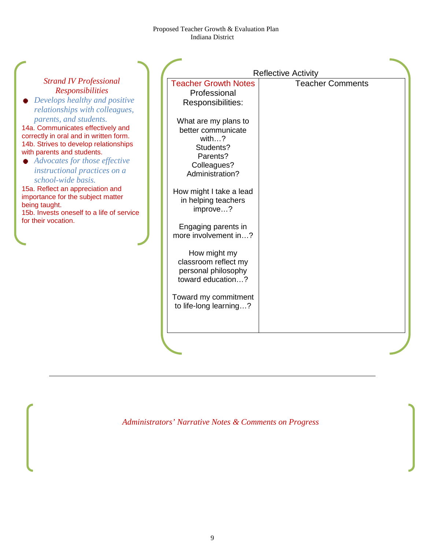|                                                                                                                                                                                                                                                                       |                                                                                                                | <b>Reflective Activity</b> |
|-----------------------------------------------------------------------------------------------------------------------------------------------------------------------------------------------------------------------------------------------------------------------|----------------------------------------------------------------------------------------------------------------|----------------------------|
| <b>Strand IV Professional</b><br><b>Responsibilities</b><br>Develops healthy and positive<br>relationships with colleagues,                                                                                                                                           | <b>Teacher Growth Notes</b><br>Professional<br>Responsibilities:                                               | <b>Teacher Comments</b>    |
| parents, and students.<br>14a. Communicates effectively and<br>correctly in oral and in written form.<br>14b. Strives to develop relationships<br>with parents and students.<br>• Advocates for those effective<br>instructional practices on a<br>school-wide basis. | What are my plans to<br>better communicate<br>with?<br>Students?<br>Parents?<br>Colleagues?<br>Administration? |                            |
| 15a. Reflect an appreciation and<br>importance for the subject matter<br>being taught.<br>15b. Invests oneself to a life of service<br>for their vocation.                                                                                                            | How might I take a lead<br>in helping teachers<br>improve?<br>Engaging parents in                              |                            |
|                                                                                                                                                                                                                                                                       | more involvement in?<br>How might my<br>classroom reflect my<br>personal philosophy<br>toward education?       |                            |
|                                                                                                                                                                                                                                                                       | Toward my commitment<br>to life-long learning?                                                                 |                            |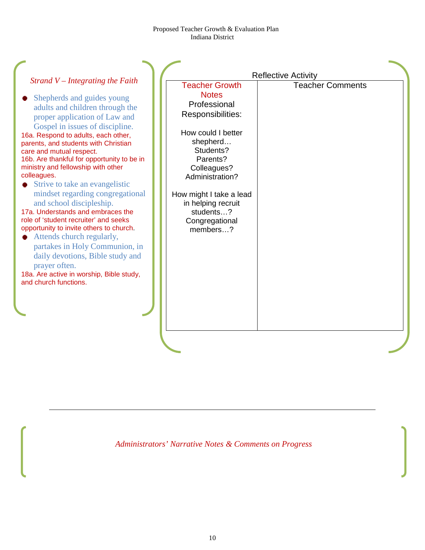|                                                                                                                                                                                                                                                                                                                                                                                         | <b>Reflective Activity</b>                                                                |                         |  |
|-----------------------------------------------------------------------------------------------------------------------------------------------------------------------------------------------------------------------------------------------------------------------------------------------------------------------------------------------------------------------------------------|-------------------------------------------------------------------------------------------|-------------------------|--|
| Strand $V$ – Integrating the Faith                                                                                                                                                                                                                                                                                                                                                      | <b>Teacher Growth</b>                                                                     | <b>Teacher Comments</b> |  |
| Shepherds and guides young<br>adults and children through the<br>proper application of Law and                                                                                                                                                                                                                                                                                          | <b>Notes</b><br>Professional<br>Responsibilities:                                         |                         |  |
| Gospel in issues of discipline.<br>16a. Respond to adults, each other,<br>parents, and students with Christian<br>care and mutual respect.<br>16b. Are thankful for opportunity to be in<br>ministry and fellowship with other<br>colleagues.                                                                                                                                           | How could I better<br>shepherd<br>Students?<br>Parents?<br>Colleagues?<br>Administration? |                         |  |
| Strive to take an evangelistic<br>mindset regarding congregational<br>and school discipleship.<br>17a. Understands and embraces the<br>role of 'student recruiter' and seeks<br>opportunity to invite others to church.<br>Attends church regularly,<br>partakes in Holy Communion, in<br>daily devotions, Bible study and<br>prayer often.<br>18a. Are active in worship, Bible study, | How might I take a lead<br>in helping recruit<br>students?<br>Congregational<br>members?  |                         |  |
| and church functions.                                                                                                                                                                                                                                                                                                                                                                   |                                                                                           |                         |  |
|                                                                                                                                                                                                                                                                                                                                                                                         |                                                                                           |                         |  |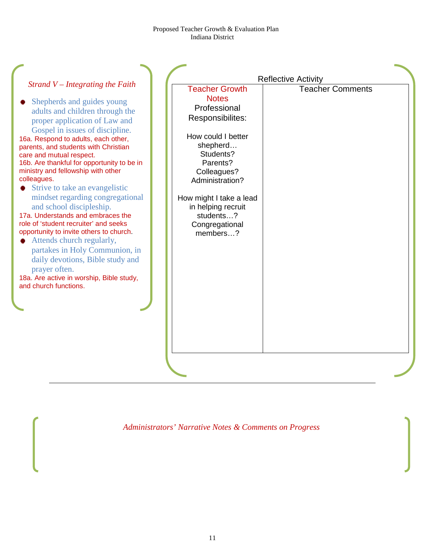| Strand $V$ – Integrating the Faith<br>Shepherds and guides young<br>adults and children through the<br>proper application of Law and<br>Gospel in issues of discipline.<br>16a. Respond to adults, each other,<br>parents, and students with Christian<br>care and mutual respect.                                                                                                                                                             | <b>Teacher Growth</b><br><b>Notes</b><br>Professional<br>Responsibilites:<br>How could I better<br>shepherd<br>Students?               | <b>Reflective Activity</b><br><b>Teacher Comments</b> |
|------------------------------------------------------------------------------------------------------------------------------------------------------------------------------------------------------------------------------------------------------------------------------------------------------------------------------------------------------------------------------------------------------------------------------------------------|----------------------------------------------------------------------------------------------------------------------------------------|-------------------------------------------------------|
| 16b. Are thankful for opportunity to be in<br>ministry and fellowship with other<br>colleagues.<br>Strive to take an evangelistic<br>mindset regarding congregational<br>and school discipleship.<br>17a. Understands and embraces the<br>role of 'student recruiter' and seeks<br>opportunity to invite others to church.<br>Attends church regularly,<br>partakes in Holy Communion, in<br>daily devotions, Bible study and<br>prayer often. | Parents?<br>Colleagues?<br>Administration?<br>How might I take a lead<br>in helping recruit<br>students?<br>Congregational<br>members? |                                                       |
| 18a. Are active in worship, Bible study,<br>and church functions.                                                                                                                                                                                                                                                                                                                                                                              |                                                                                                                                        |                                                       |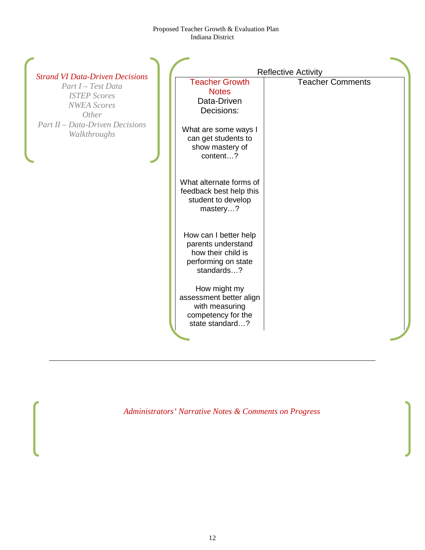|                                                                                                                                                                              |                                                                                                                                                  | <b>Reflective Activity</b> |
|------------------------------------------------------------------------------------------------------------------------------------------------------------------------------|--------------------------------------------------------------------------------------------------------------------------------------------------|----------------------------|
| <b>Strand VI Data-Driven Decisions</b><br>Part I - Test Data<br><b>ISTEP Scores</b><br><b>NWEA</b> Scores<br>Other<br><b>Part II – Data-Driven Decisions</b><br>Walkthroughs | <b>Teacher Growth</b><br><b>Notes</b><br>Data-Driven<br>Decisions:<br>What are some ways I<br>can get students to<br>show mastery of<br>content? | <b>Teacher Comments</b>    |
|                                                                                                                                                                              | What alternate forms of<br>feedback best help this<br>student to develop<br>mastery?                                                             |                            |
|                                                                                                                                                                              | How can I better help<br>parents understand<br>how their child is<br>performing on state<br>standards?                                           |                            |
|                                                                                                                                                                              | How might my<br>assessment better align<br>with measuring<br>competency for the<br>state standard?                                               |                            |
|                                                                                                                                                                              |                                                                                                                                                  |                            |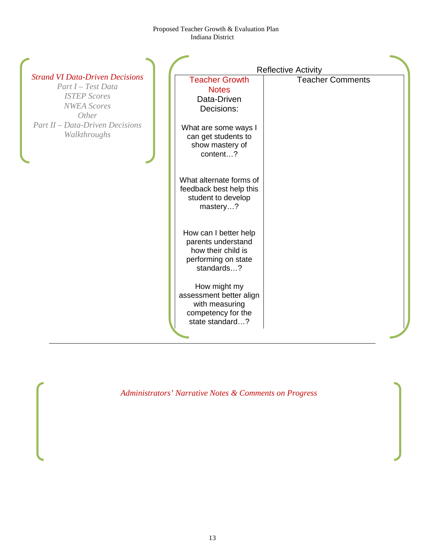|                                                                                                                    |                                                                                                        | <b>Reflective Activity</b> |
|--------------------------------------------------------------------------------------------------------------------|--------------------------------------------------------------------------------------------------------|----------------------------|
| <b>Strand VI Data-Driven Decisions</b><br>Part I - Test Data<br><b>ISTEP Scores</b><br><b>NWEA</b> Scores<br>Other | <b>Teacher Growth</b><br><b>Notes</b><br>Data-Driven<br>Decisions:                                     | <b>Teacher Comments</b>    |
| <b>Part II – Data-Driven Decisions</b><br>Walkthroughs                                                             | What are some ways I<br>can get students to<br>show mastery of<br>content?                             |                            |
|                                                                                                                    | What alternate forms of<br>feedback best help this<br>student to develop<br>mastery?                   |                            |
|                                                                                                                    | How can I better help<br>parents understand<br>how their child is<br>performing on state<br>standards? |                            |
|                                                                                                                    | How might my<br>assessment better align<br>with measuring<br>competency for the<br>state standard?     |                            |
|                                                                                                                    |                                                                                                        |                            |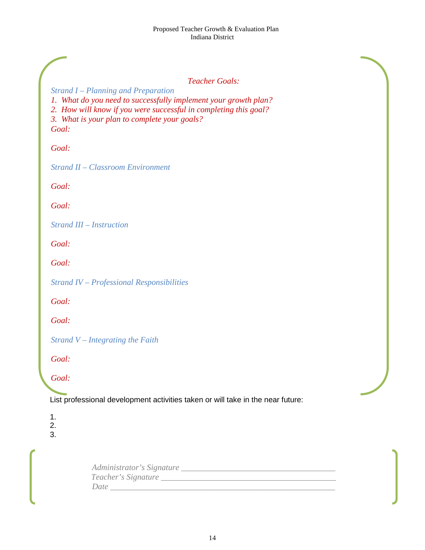# *Teacher Goals:*

*Strand I – Planning and Preparation 1. What do you need to successfully implement your growth plan? 2. How will know if you were successful in completing this goal? 3. What is your plan to complete your goals? Goal:*

*Goal:*

*Strand II – Classroom Environment*

*Goal:*

*Goal:*

*Strand III – Instruction*

*Goal:*

*Goal:*

*Strand IV – Professional Responsibilities*

*Goal:*

*Goal:*

*Strand V – Integrating the Faith*

*Goal:* 

*Goal:* 

List professional development activities taken or will take in the near future:

1.

2.

3.

| Administrator's Signature |
|---------------------------|
| Teacher's Signature       |
| Date                      |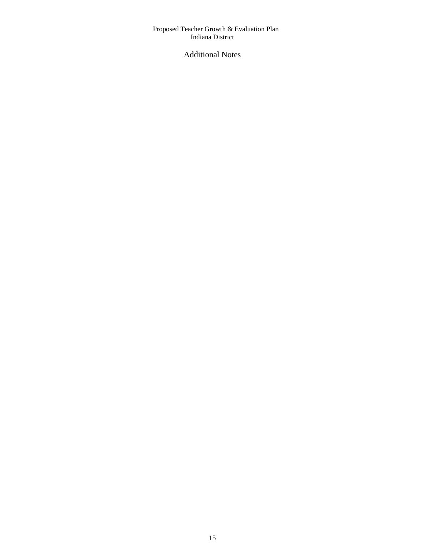# Additional Notes